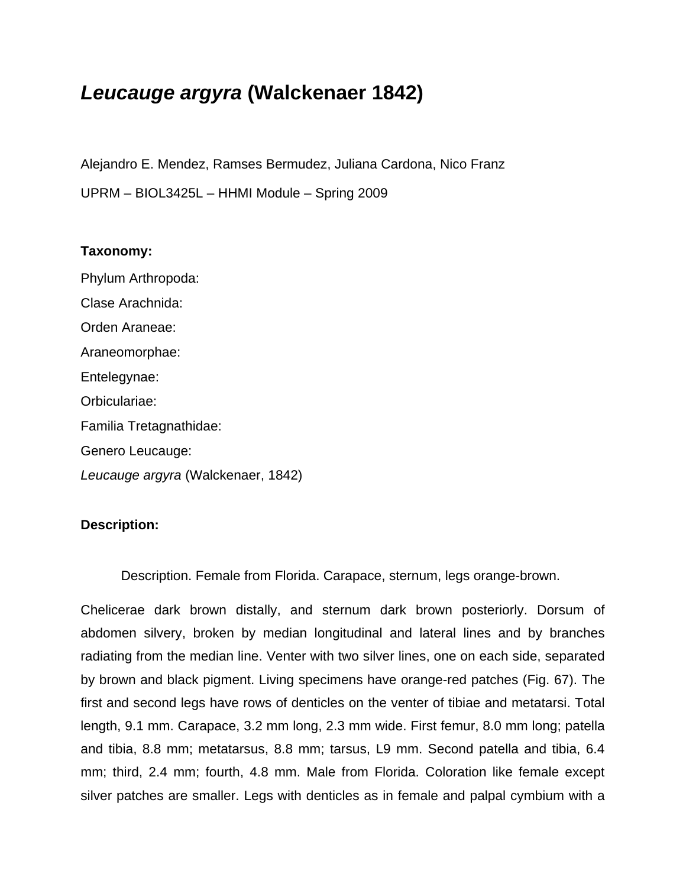# *Leucauge argyra* **(Walckenaer 1842)**

Alejandro E. Mendez, Ramses Bermudez, Juliana Cardona, Nico Franz UPRM – BIOL3425L – HHMI Module – Spring 2009

## **Taxonomy:**

Phylum Arthropoda: Clase Arachnida: Orden Araneae: Araneomorphae: Entelegynae: Orbiculariae: Familia Tretagnathidae: Genero Leucauge: *Leucauge argyra* (Walckenaer, 1842)

# **Description:**

Description. Female from Florida. Carapace, sternum, legs orange-brown.

Chelicerae dark brown distally, and sternum dark brown posteriorly. Dorsum of abdomen silvery, broken by median longitudinal and lateral lines and by branches radiating from the median line. Venter with two silver lines, one on each side, separated by brown and black pigment. Living specimens have orange-red patches (Fig. 67). The first and second legs have rows of denticles on the venter of tibiae and metatarsi. Total length, 9.1 mm. Carapace, 3.2 mm long, 2.3 mm wide. First femur, 8.0 mm long; patella and tibia, 8.8 mm; metatarsus, 8.8 mm; tarsus, L9 mm. Second patella and tibia, 6.4 mm; third, 2.4 mm; fourth, 4.8 mm. Male from Florida. Coloration like female except silver patches are smaller. Legs with denticles as in female and palpal cymbium with a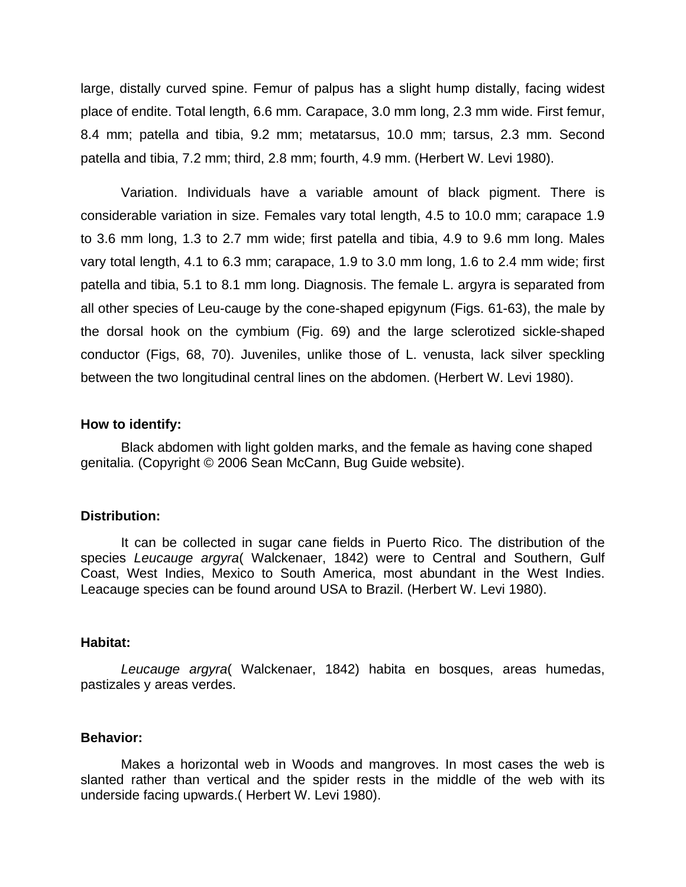large, distally curved spine. Femur of palpus has a slight hump distally, facing widest place of endite. Total length, 6.6 mm. Carapace, 3.0 mm long, 2.3 mm wide. First femur, 8.4 mm; patella and tibia, 9.2 mm; metatarsus, 10.0 mm; tarsus, 2.3 mm. Second patella and tibia, 7.2 mm; third, 2.8 mm; fourth, 4.9 mm. (Herbert W. Levi 1980).

Variation. Individuals have a variable amount of black pigment. There is considerable variation in size. Females vary total length, 4.5 to 10.0 mm; carapace 1.9 to 3.6 mm long, 1.3 to 2.7 mm wide; first patella and tibia, 4.9 to 9.6 mm long. Males vary total length, 4.1 to 6.3 mm; carapace, 1.9 to 3.0 mm long, 1.6 to 2.4 mm wide; first patella and tibia, 5.1 to 8.1 mm long. Diagnosis. The female L. argyra is separated from all other species of Leu-cauge by the cone-shaped epigynum (Figs. 61-63), the male by the dorsal hook on the cymbium (Fig. 69) and the large sclerotized sickle-shaped conductor (Figs, 68, 70). Juveniles, unlike those of L. venusta, lack silver speckling between the two longitudinal central lines on the abdomen. (Herbert W. Levi 1980).

### **How to identify:**

Black abdomen with light golden marks, and the female as having cone shaped genitalia. (Copyright © 2006 Sean McCann, Bug Guide website).

#### **Distribution:**

 It can be collected in sugar cane fields in Puerto Rico. The distribution of the species *Leucauge argyra*( Walckenaer, 1842) were to Central and Southern, Gulf Coast, West Indies, Mexico to South America, most abundant in the West Indies. Leacauge species can be found around USA to Brazil. (Herbert W. Levi 1980).

#### **Habitat:**

*Leucauge argyra*( Walckenaer, 1842) habita en bosques, areas humedas, pastizales y areas verdes.

### **Behavior:**

Makes a horizontal web in Woods and mangroves. In most cases the web is slanted rather than vertical and the spider rests in the middle of the web with its underside facing upwards.( Herbert W. Levi 1980).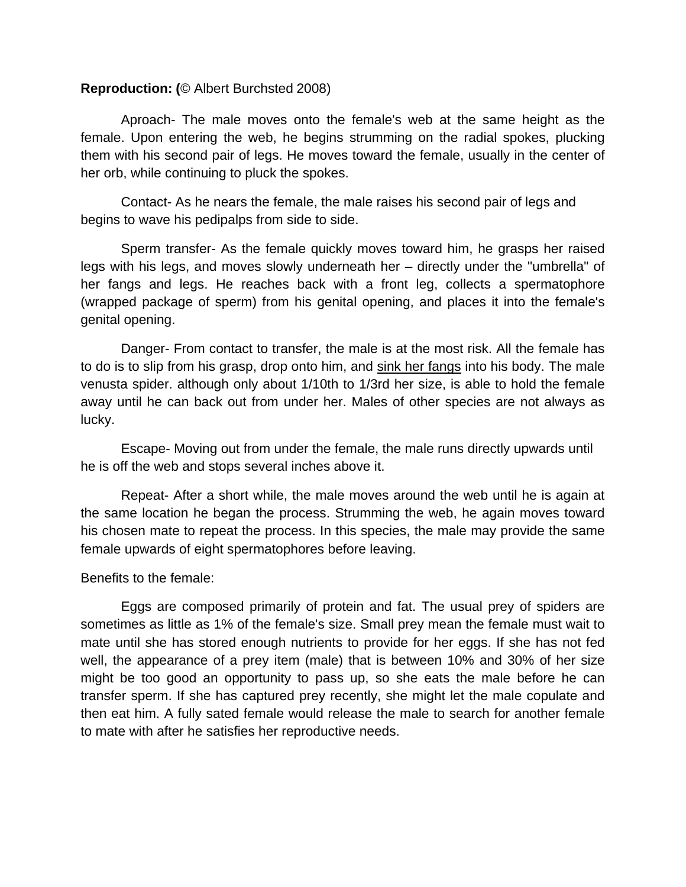## **Reproduction: (**© Albert Burchsted 2008)

Aproach- The male moves onto the female's web at the same height as the female. Upon entering the web, he begins strumming on the radial spokes, plucking them with his second pair of legs. He moves toward the female, usually in the center of her orb, while continuing to pluck the spokes.

 Contact- As he nears the female, the male raises his second pair of legs and begins to wave his pedipalps from side to side.

 Sperm transfer- As the female quickly moves toward him, he grasps her raised legs with his legs, and moves slowly underneath her – directly under the "umbrella" of her fangs and legs. He reaches back with a front leg, collects a spermatophore (wrapped package of sperm) from his genital opening, and places it into the female's genital opening.

Danger- From contact to transfer, the male is at the most risk. All the female has to do is to slip from his grasp, drop onto him, and sink her fangs into his body. The male venusta spider. although only about 1/10th to 1/3rd her size, is able to hold the female away until he can back out from under her. Males of other species are not always as lucky.

 Escape- Moving out from under the female, the male runs directly upwards until he is off the web and stops several inches above it.

 Repeat- After a short while, the male moves around the web until he is again at the same location he began the process. Strumming the web, he again moves toward his chosen mate to repeat the process. In this species, the male may provide the same female upwards of eight spermatophores before leaving.

Benefits to the female:

Eggs are composed primarily of protein and fat. The usual prey of spiders are sometimes as little as 1% of the female's size. Small prey mean the female must wait to mate until she has stored enough nutrients to provide for her eggs. If she has not fed well, the appearance of a prey item (male) that is between 10% and 30% of her size might be too good an opportunity to pass up, so she eats the male before he can transfer sperm. If she has captured prey recently, she might let the male copulate and then eat him. A fully sated female would release the male to search for another female to mate with after he satisfies her reproductive needs.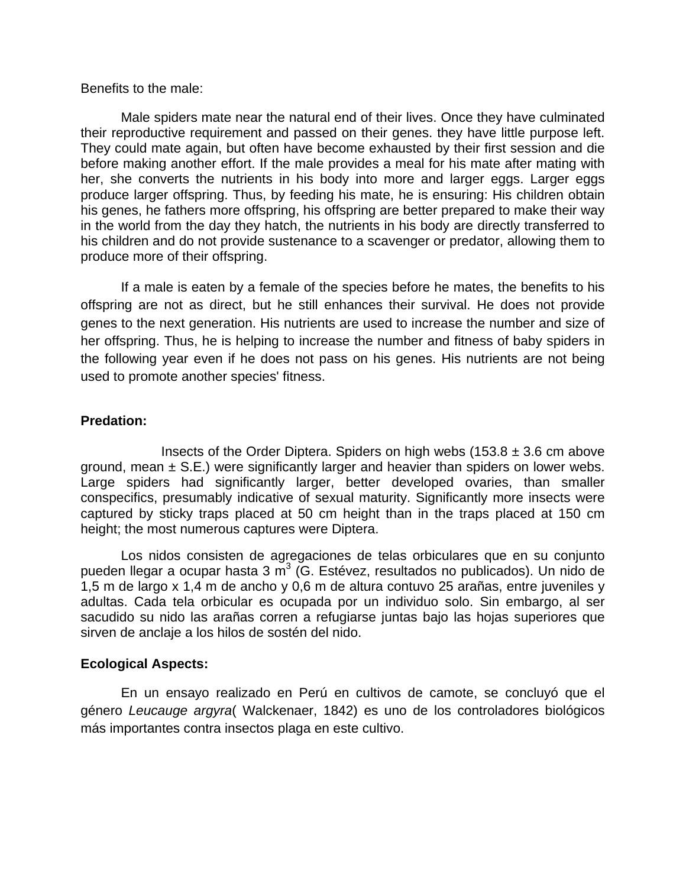### Benefits to the male:

Male spiders mate near the natural end of their lives. Once they have culminated their reproductive requirement and passed on their genes. they have little purpose left. They could mate again, but often have become exhausted by their first session and die before making another effort. If the male provides a meal for his mate after mating with her, she converts the nutrients in his body into more and larger eggs. Larger eggs produce larger offspring. Thus, by feeding his mate, he is ensuring: His children obtain his genes, he fathers more offspring, his offspring are better prepared to make their way in the world from the day they hatch, the nutrients in his body are directly transferred to his children and do not provide sustenance to a scavenger or predator, allowing them to produce more of their offspring.

If a male is eaten by a female of the species before he mates, the benefits to his offspring are not as direct, but he still enhances their survival. He does not provide genes to the next generation. His nutrients are used to increase the number and size of her offspring. Thus, he is helping to increase the number and fitness of baby spiders in the following year even if he does not pass on his genes. His nutrients are not being used to promote another species' fitness.

## **Predation:**

Insects of the Order Diptera. Spiders on high webs  $(153.8 \pm 3.6 \text{ cm}$  above ground, mean  $\pm$  S.E.) were significantly larger and heavier than spiders on lower webs. Large spiders had significantly larger, better developed ovaries, than smaller conspecifics, presumably indicative of sexual maturity. Significantly more insects were captured by sticky traps placed at 50 cm height than in the traps placed at 150 cm height; the most numerous captures were Diptera.

Los nidos consisten de agregaciones de telas orbiculares que en su conjunto pueden llegar a ocupar hasta 3 m<sup>3</sup> (G. Estévez, resultados no publicados). Un nido de 1,5 m de largo x 1,4 m de ancho y 0,6 m de altura contuvo 25 arañas, entre juveniles y adultas. Cada tela orbicular es ocupada por un individuo solo. Sin embargo, al ser sacudido su nido las arañas corren a refugiarse juntas bajo las hojas superiores que sirven de anclaje a los hilos de sostén del nido.

# **Ecological Aspects:**

En un ensayo realizado en Perú en cultivos de camote, se concluyó que el género *Leucauge argyra*( Walckenaer, 1842) es uno de los controladores biológicos más importantes contra insectos plaga en este cultivo.